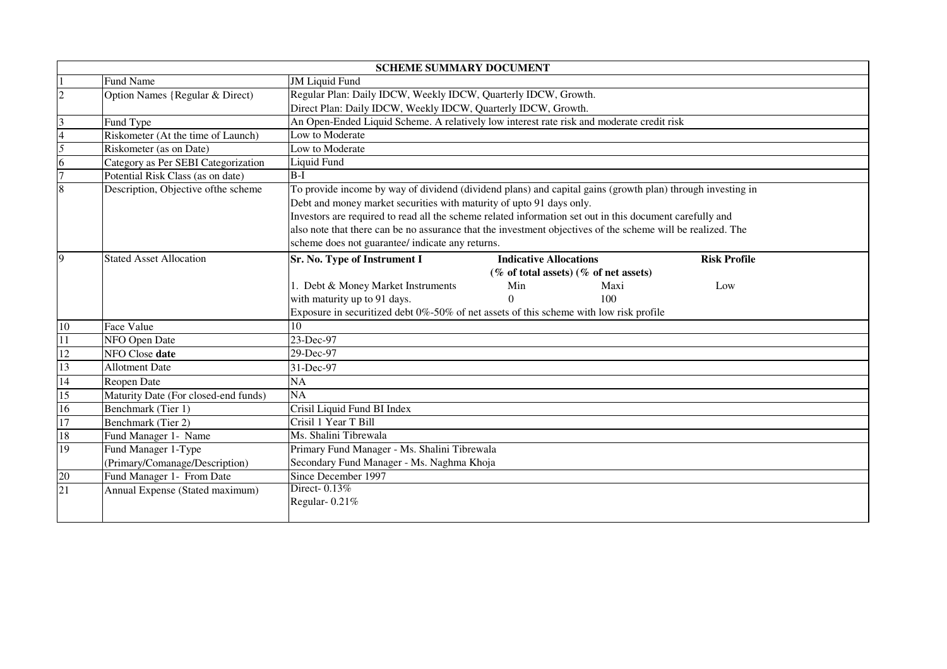| <b>SCHEME SUMMARY DOCUMENT</b> |                                      |                                                                                                             |                                                                                        |                     |  |
|--------------------------------|--------------------------------------|-------------------------------------------------------------------------------------------------------------|----------------------------------------------------------------------------------------|---------------------|--|
|                                | Fund Name                            | <b>JM Liquid Fund</b>                                                                                       |                                                                                        |                     |  |
| $\overline{2}$                 | Option Names {Regular & Direct)      | Regular Plan: Daily IDCW, Weekly IDCW, Quarterly IDCW, Growth.                                              |                                                                                        |                     |  |
|                                |                                      | Direct Plan: Daily IDCW, Weekly IDCW, Quarterly IDCW, Growth.                                               |                                                                                        |                     |  |
| 3                              | Fund Type                            | An Open-Ended Liquid Scheme. A relatively low interest rate risk and moderate credit risk                   |                                                                                        |                     |  |
|                                | Riskometer (At the time of Launch)   | Low to Moderate                                                                                             |                                                                                        |                     |  |
| 5                              | Riskometer (as on Date)              | Low to Moderate                                                                                             |                                                                                        |                     |  |
| 6                              | Category as Per SEBI Categorization  | Liquid Fund                                                                                                 |                                                                                        |                     |  |
| $\overline{7}$                 | Potential Risk Class (as on date)    | $B-I$                                                                                                       |                                                                                        |                     |  |
| 8                              | Description, Objective of the scheme | To provide income by way of dividend (dividend plans) and capital gains (growth plan) through investing in  |                                                                                        |                     |  |
|                                |                                      | Debt and money market securities with maturity of upto 91 days only.                                        |                                                                                        |                     |  |
|                                |                                      | Investors are required to read all the scheme related information set out in this document carefully and    |                                                                                        |                     |  |
|                                |                                      | also note that there can be no assurance that the investment objectives of the scheme will be realized. The |                                                                                        |                     |  |
|                                |                                      | scheme does not guarantee/ indicate any returns.                                                            |                                                                                        |                     |  |
| 9                              | <b>Stated Asset Allocation</b>       | Sr. No. Type of Instrument I<br><b>Indicative Allocations</b>                                               |                                                                                        | <b>Risk Profile</b> |  |
|                                |                                      | $(\%$ of total assets) $(\%$ of net assets)                                                                 |                                                                                        |                     |  |
|                                |                                      | 1. Debt & Money Market Instruments<br>Min                                                                   | Maxi                                                                                   | Low                 |  |
|                                |                                      | with maturity up to 91 days.<br>$\Omega$                                                                    | 100                                                                                    |                     |  |
|                                |                                      |                                                                                                             | Exposure in securitized debt 0%-50% of net assets of this scheme with low risk profile |                     |  |
| 10                             | Face Value                           | 10                                                                                                          |                                                                                        |                     |  |
| 11                             | NFO Open Date                        | 23-Dec-97                                                                                                   |                                                                                        |                     |  |
| 12                             | NFO Close date                       | 29-Dec-97                                                                                                   |                                                                                        |                     |  |
| 13                             | <b>Allotment Date</b>                | 31-Dec-97                                                                                                   |                                                                                        |                     |  |
| 14                             | Reopen Date                          | NA                                                                                                          |                                                                                        |                     |  |
| 15                             | Maturity Date (For closed-end funds) | <b>NA</b>                                                                                                   |                                                                                        |                     |  |
| 16                             | Benchmark (Tier 1)                   | Crisil Liquid Fund BI Index                                                                                 |                                                                                        |                     |  |
| $\overline{17}$                | Benchmark (Tier 2)                   | Crisil 1 Year T Bill                                                                                        |                                                                                        |                     |  |
| 18                             | Fund Manager 1- Name                 | Ms. Shalini Tibrewala                                                                                       |                                                                                        |                     |  |
| 19                             | Fund Manager 1-Type                  | Primary Fund Manager - Ms. Shalini Tibrewala                                                                |                                                                                        |                     |  |
|                                | (Primary/Comanage/Description)       | Secondary Fund Manager - Ms. Naghma Khoja                                                                   |                                                                                        |                     |  |
| 20                             | Fund Manager 1- From Date            | Since December 1997                                                                                         |                                                                                        |                     |  |
| 21                             | Annual Expense (Stated maximum)      | Direct-0.13%                                                                                                |                                                                                        |                     |  |
|                                |                                      | Regular-0.21%                                                                                               |                                                                                        |                     |  |
|                                |                                      |                                                                                                             |                                                                                        |                     |  |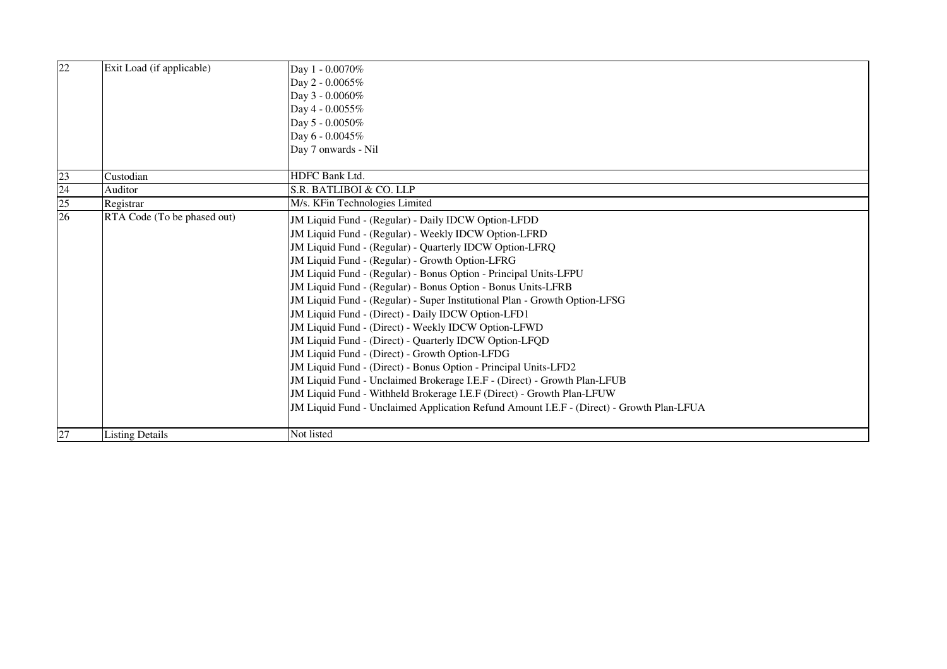| $\overline{22}$ | Exit Load (if applicable)   | Day 1 - 0.0070%<br>Day 2 - 0.0065%<br>Day 3 - 0.0060%<br>Day 4 - 0.0055%<br>Day 5 - 0.0050%<br>Day 6 - 0.0045%<br>Day 7 onwards - Nil                                                                                                                                                                                                                                                                                                                                                                                                                                                                                                                                                                                                                                                                                                                                                                                                                                                    |
|-----------------|-----------------------------|------------------------------------------------------------------------------------------------------------------------------------------------------------------------------------------------------------------------------------------------------------------------------------------------------------------------------------------------------------------------------------------------------------------------------------------------------------------------------------------------------------------------------------------------------------------------------------------------------------------------------------------------------------------------------------------------------------------------------------------------------------------------------------------------------------------------------------------------------------------------------------------------------------------------------------------------------------------------------------------|
|                 |                             | <b>HDFC Bank Ltd.</b>                                                                                                                                                                                                                                                                                                                                                                                                                                                                                                                                                                                                                                                                                                                                                                                                                                                                                                                                                                    |
| 23<br>24        | Custodian                   | S.R. BATLIBOI & CO. LLP                                                                                                                                                                                                                                                                                                                                                                                                                                                                                                                                                                                                                                                                                                                                                                                                                                                                                                                                                                  |
|                 | Auditor<br>Registrar        | M/s. KFin Technologies Limited                                                                                                                                                                                                                                                                                                                                                                                                                                                                                                                                                                                                                                                                                                                                                                                                                                                                                                                                                           |
| $\frac{25}{26}$ | RTA Code (To be phased out) | JM Liquid Fund - (Regular) - Daily IDCW Option-LFDD<br>JM Liquid Fund - (Regular) - Weekly IDCW Option-LFRD<br>JM Liquid Fund - (Regular) - Quarterly IDCW Option-LFRQ<br>JM Liquid Fund - (Regular) - Growth Option-LFRG<br>JM Liquid Fund - (Regular) - Bonus Option - Principal Units-LFPU<br>JM Liquid Fund - (Regular) - Bonus Option - Bonus Units-LFRB<br>JM Liquid Fund - (Regular) - Super Institutional Plan - Growth Option-LFSG<br>JM Liquid Fund - (Direct) - Daily IDCW Option-LFD1<br>JM Liquid Fund - (Direct) - Weekly IDCW Option-LFWD<br>JM Liquid Fund - (Direct) - Quarterly IDCW Option-LFQD<br>JM Liquid Fund - (Direct) - Growth Option-LFDG<br>JM Liquid Fund - (Direct) - Bonus Option - Principal Units-LFD2<br>JM Liquid Fund - Unclaimed Brokerage I.E.F - (Direct) - Growth Plan-LFUB<br>JM Liquid Fund - Withheld Brokerage I.E.F (Direct) - Growth Plan-LFUW<br>JM Liquid Fund - Unclaimed Application Refund Amount I.E.F - (Direct) - Growth Plan-LFUA |
| 27              | <b>Listing Details</b>      | Not listed                                                                                                                                                                                                                                                                                                                                                                                                                                                                                                                                                                                                                                                                                                                                                                                                                                                                                                                                                                               |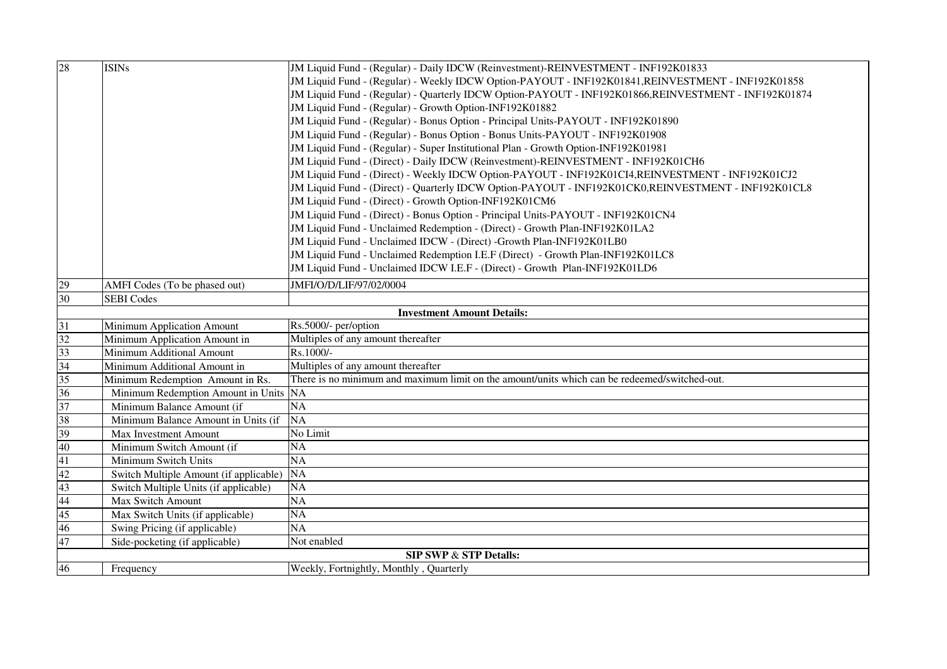| 28                                | <b>ISINs</b>                           | JM Liquid Fund - (Regular) - Daily IDCW (Reinvestment)-REINVESTMENT - INF192K01833                   |  |
|-----------------------------------|----------------------------------------|------------------------------------------------------------------------------------------------------|--|
|                                   |                                        | JM Liquid Fund - (Regular) - Weekly IDCW Option-PAYOUT - INF192K01841, REINVESTMENT - INF192K01858   |  |
|                                   |                                        | JM Liquid Fund - (Regular) - Quarterly IDCW Option-PAYOUT - INF192K01866,REINVESTMENT - INF192K01874 |  |
|                                   |                                        | JM Liquid Fund - (Regular) - Growth Option-INF192K01882                                              |  |
|                                   |                                        | JM Liquid Fund - (Regular) - Bonus Option - Principal Units-PAYOUT - INF192K01890                    |  |
|                                   |                                        | JM Liquid Fund - (Regular) - Bonus Option - Bonus Units-PAYOUT - INF192K01908                        |  |
|                                   |                                        | JM Liquid Fund - (Regular) - Super Institutional Plan - Growth Option-INF192K01981                   |  |
|                                   |                                        | JM Liquid Fund - (Direct) - Daily IDCW (Reinvestment)-REINVESTMENT - INF192K01CH6                    |  |
|                                   |                                        | JM Liquid Fund - (Direct) - Weekly IDCW Option-PAYOUT - INF192K01CI4,REINVESTMENT - INF192K01CJ2     |  |
|                                   |                                        | JM Liquid Fund - (Direct) - Quarterly IDCW Option-PAYOUT - INF192K01CK0,REINVESTMENT - INF192K01CL8  |  |
|                                   |                                        | JM Liquid Fund - (Direct) - Growth Option-INF192K01CM6                                               |  |
|                                   |                                        | JM Liquid Fund - (Direct) - Bonus Option - Principal Units-PAYOUT - INF192K01CN4                     |  |
|                                   |                                        | JM Liquid Fund - Unclaimed Redemption - (Direct) - Growth Plan-INF192K01LA2                          |  |
|                                   |                                        | JM Liquid Fund - Unclaimed IDCW - (Direct) -Growth Plan-INF192K01LB0                                 |  |
|                                   |                                        | JM Liquid Fund - Unclaimed Redemption I.E.F (Direct) - Growth Plan-INF192K01LC8                      |  |
|                                   |                                        | JM Liquid Fund - Unclaimed IDCW I.E.F - (Direct) - Growth Plan-INF192K01LD6                          |  |
| 29                                | AMFI Codes (To be phased out)          | JMFI/O/D/LIF/97/02/0004                                                                              |  |
| 30                                | <b>SEBI</b> Codes                      |                                                                                                      |  |
|                                   |                                        | <b>Investment Amount Details:</b>                                                                    |  |
| $\overline{31}$                   | Minimum Application Amount             | Rs.5000/- per/option                                                                                 |  |
| 32                                | Minimum Application Amount in          | Multiples of any amount thereafter                                                                   |  |
| $\frac{33}{34}$                   | Minimum Additional Amount              | Rs.1000/-                                                                                            |  |
|                                   | Minimum Additional Amount in           | Multiples of any amount thereafter                                                                   |  |
| $\frac{35}{36}$                   | Minimum Redemption Amount in Rs.       | There is no minimum and maximum limit on the amount/units which can be redeemed/switched-out.        |  |
|                                   | Minimum Redemption Amount in Units NA  |                                                                                                      |  |
| 37                                | Minimum Balance Amount (if             | <b>NA</b>                                                                                            |  |
| 38                                | Minimum Balance Amount in Units (if    | <b>NA</b>                                                                                            |  |
| 39                                | Max Investment Amount                  | No Limit                                                                                             |  |
| 40                                | Minimum Switch Amount (if              | <b>NA</b>                                                                                            |  |
| 41                                | Minimum Switch Units                   | NA                                                                                                   |  |
| 42                                | Switch Multiple Amount (if applicable) | <b>NA</b>                                                                                            |  |
| 43                                | Switch Multiple Units (if applicable)  | NA                                                                                                   |  |
| 44                                | Max Switch Amount                      | NA                                                                                                   |  |
| $\overline{45}$                   | Max Switch Units (if applicable)       | NA                                                                                                   |  |
| 46                                | Swing Pricing (if applicable)          | $\overline{NA}$                                                                                      |  |
| 47                                | Side-pocketing (if applicable)         | Not enabled                                                                                          |  |
| <b>SIP SWP &amp; STP Details:</b> |                                        |                                                                                                      |  |
| 46                                | Frequency                              | Weekly, Fortnightly, Monthly, Quarterly                                                              |  |